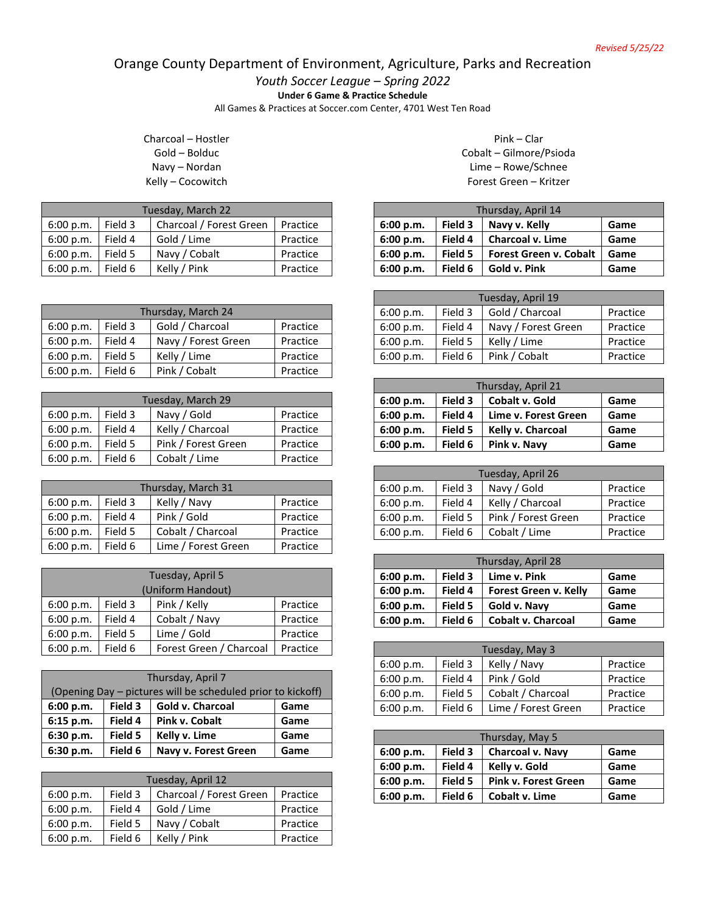## Orange County Department of Environment, Agriculture, Parks and Recreation

*Youth Soccer League – Spring 2022*

**Under 6 Game & Practice Schedule**

All Games & Practices at Soccer.com Center, 4701 West Ten Road

Charcoal – Hostler Gold – Bolduc Navy – Nordan Kelly – Cocowitch

| Tuesday, March 22 |         |                         |          |
|-------------------|---------|-------------------------|----------|
| 6:00 p.m.         | Field 3 | Charcoal / Forest Green | Practice |
| 6:00 p.m.         | Field 4 | Gold / Lime             | Practice |
| 6:00 p.m.         | Field 5 | Navy / Cobalt           | Practice |
| 6:00 p.m.         | Field 6 | Kelly / Pink            | Practice |

| Thursday, March 24 |         |                     |          |
|--------------------|---------|---------------------|----------|
| 6:00 p.m.          | Field 3 | Gold / Charcoal     | Practice |
| 6:00 p.m.          | Field 4 | Navy / Forest Green | Practice |
| 6:00 p.m.          | Field 5 | Kelly / Lime        | Practice |
| 6:00 p.m.          | Field 6 | Pink / Cobalt       | Practice |

| Tuesday, March 29 |         |                     |          |
|-------------------|---------|---------------------|----------|
| 6:00 p.m.         | Field 3 | Navy / Gold         | Practice |
| 6:00 p.m.         | Field 4 | Kelly / Charcoal    | Practice |
| 6:00 p.m.         | Field 5 | Pink / Forest Green | Practice |
| 6:00 p.m.         | Field 6 | Cobalt / Lime       | Practice |

| Thursday, March 31 |         |                     |          |
|--------------------|---------|---------------------|----------|
| 6:00 p.m.          | Field 3 | Kelly / Navy        | Practice |
| 6:00 p.m.          | Field 4 | Pink / Gold         | Practice |
| 6:00 p.m.          | Field 5 | Cobalt / Charcoal   | Practice |
| 6:00 p.m.          | Field 6 | Lime / Forest Green | Practice |

| Tuesday, April 5<br>(Uniform Handout) |         |                         |          |  |
|---------------------------------------|---------|-------------------------|----------|--|
| 6:00 p.m.                             | Field 3 | Pink / Kelly            | Practice |  |
| 6:00 p.m.                             | Field 4 | Cobalt / Navy           | Practice |  |
| 6:00 p.m.                             | Field 5 | Lime / Gold             | Practice |  |
| 6:00 p.m.                             | Field 6 | Forest Green / Charcoal | Practice |  |

| Thursday, April 7                                           |         |                      |      |  |
|-------------------------------------------------------------|---------|----------------------|------|--|
| (Opening Day – pictures will be scheduled prior to kickoff) |         |                      |      |  |
| Field 3<br>Gold v. Charcoal<br>6:00 p.m.<br>Game            |         |                      |      |  |
| 6:15 p.m.                                                   | Field 4 | Pink v. Cobalt       | Game |  |
| 6:30 p.m.                                                   | Field 5 | Kelly v. Lime        | Game |  |
| 6:30 p.m.                                                   | Field 6 | Navy v. Forest Green | Game |  |

| Tuesday, April 12 |         |                         |          |  |
|-------------------|---------|-------------------------|----------|--|
| 6:00 p.m.         | Field 3 | Charcoal / Forest Green | Practice |  |
| 6:00 p.m.         | Field 4 | Gold / Lime             | Practice |  |
| 6:00 p.m.         | Field 5 | Navy / Cobalt           | Practice |  |
| 6:00 p.m.         | Field 6 | Kelly / Pink            | Practice |  |

Pink – Clar Cobalt – Gilmore/Psioda Lime – Rowe/Schnee Forest Green – Kritzer

| Thursday, April 14 |         |                               |      |
|--------------------|---------|-------------------------------|------|
| 6:00 p.m.          | Field 3 | Navy v. Kelly                 | Game |
| 6:00 p.m.          | Field 4 | <b>Charcoal v. Lime</b>       | Game |
| 6:00 p.m.          | Field 5 | <b>Forest Green v. Cobalt</b> | Game |
| 6:00 p.m.          | Field 6 | Gold v. Pink                  | Game |

| Tuesday, April 19 |         |                     |          |
|-------------------|---------|---------------------|----------|
| 6:00 p.m.         | Field 3 | Gold / Charcoal     | Practice |
| 6:00 p.m.         | Field 4 | Navy / Forest Green | Practice |
| 6:00 p.m.         | Field 5 | Kelly / Lime        | Practice |
| 6:00 p.m.         | Field 6 | Pink / Cobalt       | Practice |

| Thursday, April 21 |         |                      |      |
|--------------------|---------|----------------------|------|
| 6:00 p.m.          | Field 3 | Cobalt v. Gold       | Game |
| 6:00 p.m.          | Field 4 | Lime v. Forest Green | Game |
| 6:00 p.m.          | Field 5 | Kelly v. Charcoal    | Game |
| 6:00 p.m.          | Field 6 | Pink v. Navy         | Game |

| Tuesday, April 26 |         |                     |          |
|-------------------|---------|---------------------|----------|
| 6:00 p.m.         | Field 3 | Navy / Gold         | Practice |
| 6:00 p.m.         | Field 4 | Kelly / Charcoal    | Practice |
| 6:00 p.m.         | Field 5 | Pink / Forest Green | Practice |
| 6:00 p.m.         | Field 6 | Cobalt / Lime       | Practice |

| Thursday, April 28 |         |                           |      |
|--------------------|---------|---------------------------|------|
| 6:00 p.m.          | Field 3 | Lime v. Pink              | Game |
| 6:00 p.m.          | Field 4 | Forest Green v. Kelly     | Game |
| 6:00 p.m.          | Field 5 | Gold v. Navy              | Game |
| 6:00 p.m.          | Field 6 | <b>Cobalt v. Charcoal</b> | Game |

| Tuesday, May 3 |         |                     |          |
|----------------|---------|---------------------|----------|
| 6:00 p.m.      | Field 3 | Kelly / Navy        | Practice |
| 6:00 p.m.      | Field 4 | Pink / Gold         | Practice |
| 6:00 p.m.      | Field 5 | Cobalt / Charcoal   | Practice |
| 6:00 p.m.      | Field 6 | Lime / Forest Green | Practice |

| Thursday, May 5 |         |                             |      |
|-----------------|---------|-----------------------------|------|
| 6:00 p.m.       | Field 3 | <b>Charcoal v. Navy</b>     | Game |
| 6:00 p.m.       | Field 4 | Kelly v. Gold               | Game |
| 6:00 p.m.       | Field 5 | <b>Pink v. Forest Green</b> | Game |
| 6:00 p.m.       | Field 6 | Cobalt v. Lime              | Game |